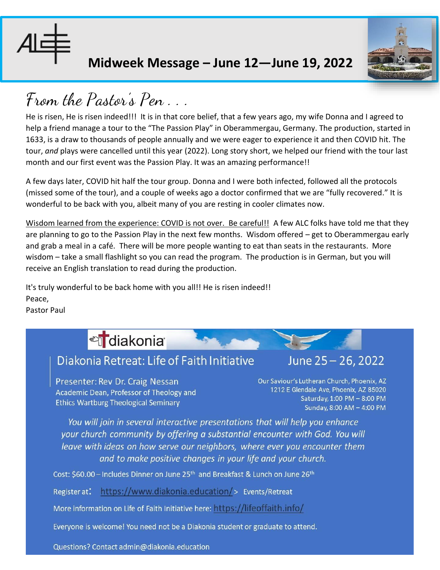

## **Midweek Message – June 12—June 19, 2022**



## **From the Pastor's Pen . . .**

He is risen, He is risen indeed!!! It is in that core belief, that a few years ago, my wife Donna and I agreed to help a friend manage a tour to the "The Passion Play" in Oberammergau, Germany. The production, started in 1633, is a draw to thousands of people annually and we were eager to experience it and then COVID hit. The tour, *and* plays were cancelled until this year (2022). Long story short, we helped our friend with the tour last month and our first event was the Passion Play. It was an amazing performance!!

A few days later, COVID hit half the tour group. Donna and I were both infected, followed all the protocols (missed some of the tour), and a couple of weeks ago a doctor confirmed that we are "fully recovered." It is wonderful to be back with you, albeit many of you are resting in cooler climates now.

Wisdom learned from the experience: COVID is not over. Be careful!! A few ALC folks have told me that they are planning to go to the Passion Play in the next few months. Wisdom offered – get to Oberammergau early and grab a meal in a café. There will be more people wanting to eat than seats in the restaurants. More wisdom – take a small flashlight so you can read the program. The production is in German, but you will receive an English translation to read during the production.

It's truly wonderful to be back home with you all!! He is risen indeed!! Peace,

Pastor Paul